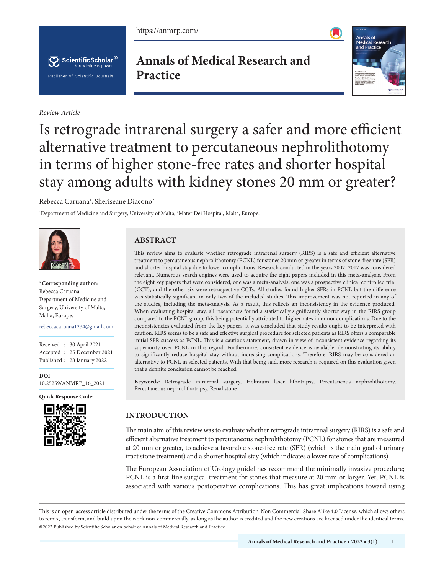https://anmrp.com/





*Review Article*

# **Annals of Medical Research and Practice**



# Is retrograde intrarenal surgery a safer and more efficient alternative treatment to percutaneous nephrolithotomy in terms of higher stone-free rates and shorter hospital stay among adults with kidney stones 20 mm or greater?

Rebecca Caruana<sup>1</sup>, Sheriseane Diacono<sup>2</sup>

1 Department of Medicine and Surgery, University of Malta, 2 Mater Dei Hospital, Malta, Europe.



**\*Corresponding author:** Rebecca Caruana, Department of Medicine and Surgery, University of Malta, Malta, Europe.

rebeccacaruana1234@gmail.com

Received : 30 April 2021 Accepted : 25 December 2021 Published : 28 January 2022

**[DOI](https://dx.doi.org/10.25259/ANMRP_16_2021
)** [10.25259/ANMRP\\_16\\_2021](https://dx.doi.org/10.25259/ANMRP_16_2021
)

**Quick Response Code:**



## **ABSTRACT**

This review aims to evaluate whether retrograde intrarenal surgery (RIRS) is a safe and efficient alternative treatment to percutaneous nephrolithotomy (PCNL) for stones 20 mm or greater in terms of stone-free rate (SFR) and shorter hospital stay due to lower complications. Research conducted in the years 2007–2017 was considered relevant. Numerous search engines were used to acquire the eight papers included in this meta-analysis. From the eight key papers that were considered, one was a meta-analysis, one was a prospective clinical controlled trial (CCT), and the other six were retrospective CCTs. All studies found higher SFRs in PCNL but the difference was statistically significant in only two of the included studies. This improvement was not reported in any of the studies, including the meta-analysis. As a result, this reflects an inconsistency in the evidence produced. When evaluating hospital stay, all researchers found a statistically significantly shorter stay in the RIRS group compared to the PCNL group, this being potentially attributed to higher rates in minor complications. Due to the inconsistencies evaluated from the key papers, it was concluded that study results ought to be interpreted with caution. RIRS seems to be a safe and effective surgical procedure for selected patients as RIRS offers a comparable initial SFR success as PCNL. This is a cautious statement, drawn in view of inconsistent evidence regarding its superiority over PCNL in this regard. Furthermore, consistent evidence is available, demonstrating its ability to significantly reduce hospital stay without increasing complications. Therefore, RIRS may be considered an alternative to PCNL in selected patients. With that being said, more research is required on this evaluation given that a definite conclusion cannot be reached.

**Keywords:** Retrograde intrarenal surgery, Holmium laser lithotripsy, Percutaneous nephrolithotomy, Percutaneous nephrolithotripsy, Renal stone

## **INTRODUCTION**

The main aim of this review was to evaluate whether retrograde intrarenal surgery (RIRS) is a safe and efficient alternative treatment to percutaneous nephrolithotomy (PCNL) for stones that are measured at 20 mm or greater, to achieve a favorable stone-free rate (SFR) (which is the main goal of urinary tract stone treatment) and a shorter hospital stay (which indicates a lower rate of complications).

The European Association of Urology guidelines recommend the minimally invasive procedure; PCNL is a first-line surgical treatment for stones that measure at 20 mm or larger. Yet, PCNL is associated with various postoperative complications. This has great implications toward using

This is an open-access article distributed under the terms of the Creative Commons Attribution-Non Commercial-Share Alike 4.0 License, which allows others to remix, transform, and build upon the work non-commercially, as long as the author is credited and the new creations are licensed under the identical terms. ©2022 Published by Scientific Scholar on behalf of Annals of Medical Research and Practice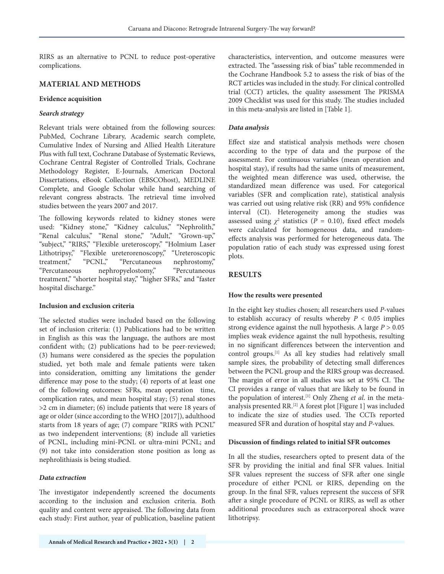RIRS as an alternative to PCNL to reduce post-operative complications.

#### **MATERIAL AND METHODS**

#### **Evidence acquisition**

#### *Search strategy*

Relevant trials were obtained from the following sources: PubMed, Cochrane Library, Academic search complete, Cumulative Index of Nursing and Allied Health Literature Plus with full text, Cochrane Database of Systematic Reviews, Cochrane Central Register of Controlled Trials, Cochrane Methodology Register, E-Journals, American Doctoral Dissertations, eBook Collection (EBSCOhost), MEDLINE Complete, and Google Scholar while hand searching of relevant congress abstracts. The retrieval time involved studies between the years 2007 and 2017.

The following keywords related to kidney stones were used: "Kidney stone," "Kidney calculus," "Nephrolith," "Renal calculus," "Renal stone," "Adult," "Grown-up," "subject," "RIRS," "Flexible ureteroscopy," "Holmium Laser Lithotripsy," "Flexible ureterorenoscopy," "Ureteroscopic treatment," "PCNL," "Percutaneous nephrostomy," "Percutaneous nephropyelostomy," "Percutaneous treatment," "shorter hospital stay," "higher SFRs," and "faster hospital discharge."

#### **Inclusion and exclusion criteria**

The selected studies were included based on the following set of inclusion criteria: (1) Publications had to be written in English as this was the language, the authors are most confident with; (2) publications had to be peer-reviewed; (3) humans were considered as the species the population studied, yet both male and female patients were taken into consideration, omitting any limitations the gender difference may pose to the study; (4) reports of at least one of the following outcomes: SFRs, mean operation time, complication rates, and mean hospital stay; (5) renal stones >2 cm in diameter; (6) include patients that were 18 years of age or older (since according to the WHO [2017]), adulthood starts from 18 years of age; (7) compare "RIRS with PCNL" as two independent interventions; (8) include all varieties of PCNL, including mini-PCNL or ultra-mini PCNL; and (9) not take into consideration stone position as long as nephrolithiasis is being studied.

#### *Data extraction*

The investigator independently screened the documents according to the inclusion and exclusion criteria. Both quality and content were appraised. The following data from each study: First author, year of publication, baseline patient characteristics, intervention, and outcome measures were extracted. The "assessing risk of bias" table recommended in the Cochrane Handbook 5.2 to assess the risk of bias of the RCT articles was included in the study. For clinical controlled trial (CCT) articles, the quality assessment The PRISMA 2009 Checklist was used for this study. The studies included in this meta-analysis are listed in [Table 1].

#### *Data analysis*

Effect size and statistical analysis methods were chosen according to the type of data and the purpose of the assessment. For continuous variables (mean operation and hospital stay), if results had the same units of measurement, the weighted mean difference was used, otherwise, the standardized mean difference was used. For categorical variables (SFR and complication rate), statistical analysis was carried out using relative risk (RR) and 95% confidence interval (CI). Heterogeneity among the studies was assessed using  $\chi^2$  statistics ( $P = 0.10$ ), fixed effect models were calculated for homogeneous data, and randomeffects analysis was performed for heterogeneous data. The population ratio of each study was expressed using forest plots.

#### **RESULTS**

#### **How the results were presented**

In the eight key studies chosen; all researchers used *P*-values to establish accuracy of results whereby *P* < 0.05 implies strong evidence against the null hypothesis. A large *P* > 0.05 implies weak evidence against the null hypothesis, resulting in no significant differences between the intervention and control groups.[1] As all key studies had relatively small sample sizes, the probability of detecting small differences between the PCNL group and the RIRS group was decreased. The margin of error in all studies was set at 95% CI. The CI provides a range of values that are likely to be found in the population of interest.[1] Only Zheng *et al*. in the metaanalysis presented RR.[2] A forest plot [Figure 1] was included to indicate the size of studies used. The CCTs reported measured SFR and duration of hospital stay and *P*-values.

#### **Discussion of findings related to initial SFR outcomes**

In all the studies, researchers opted to present data of the SFR by providing the initial and final SFR values. Initial SFR values represent the success of SFR after one single procedure of either PCNL or RIRS, depending on the group. In the final SFR, values represent the success of SFR after a single procedure of PCNL or RIRS, as well as other additional procedures such as extracorporeal shock wave lithotripsy.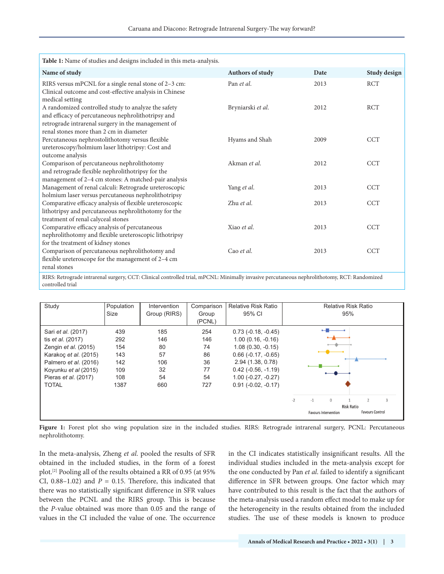| Table 1: Name of studies and designs included in this meta-analysis.                                                                                                                                       |                   |      |              |  |  |
|------------------------------------------------------------------------------------------------------------------------------------------------------------------------------------------------------------|-------------------|------|--------------|--|--|
| Name of study                                                                                                                                                                                              | Authors of study  | Date | Study design |  |  |
| RIRS versus mPCNL for a single renal stone of 2-3 cm:<br>Clinical outcome and cost-effective analysis in Chinese<br>medical setting                                                                        | Pan et al.        | 2013 | <b>RCT</b>   |  |  |
| A randomized controlled study to analyze the safety<br>and efficacy of percutaneous nephrolithotripsy and<br>retrograde intrarenal surgery in the management of<br>renal stones more than 2 cm in diameter | Bryniarski et al. | 2012 | <b>RCT</b>   |  |  |
| Percutaneous nephrostolithotomy versus flexible<br>ureteroscopy/holmium laser lithotripsy: Cost and<br>outcome analysis                                                                                    | Hyams and Shah    | 2009 | <b>CCT</b>   |  |  |
| Comparison of percutaneous nephrolithotomy<br>and retrograde flexible nephrolithotripsy for the<br>management of 2-4 cm stones: A matched-pair analysis                                                    | Akman et al.      | 2012 | <b>CCT</b>   |  |  |
| Management of renal calculi: Retrograde ureteroscopic<br>holmium laser versus percutaneous nephrolithotripsy                                                                                               | Yang et al.       | 2013 | <b>CCT</b>   |  |  |
| Comparative efficacy analysis of flexible ureteroscopic<br>lithotripsy and percutaneous nephrolithotomy for the<br>treatment of renal calyceal stones                                                      | Zhu et al.        | 2013 | <b>CCT</b>   |  |  |
| Comparative efficacy analysis of percutaneous<br>nephrolithotomy and flexible ureteroscopic lithotripsy<br>for the treatment of kidney stones                                                              | Xiao et al.       | 2013 | <b>CCT</b>   |  |  |
| Comparison of percutaneous nephrolithotomy and<br>flexible ureteroscope for the management of 2-4 cm<br>renal stones                                                                                       | Cao et al.        | 2013 | <b>CCT</b>   |  |  |
| RIRS: Retrograde intrarenal surgery, CCT: Clinical controlled trial, mPCNL: Minimally invasive percutaneous nephrolithotomy, RCT: Randomized                                                               |                   |      |              |  |  |

RIRS: Retrograde intrarenal surgery, CCT: Clinical controlled trial, mPCNL: Minimally invasive percutaneous nephrolithotomy, RCT: Randomized controlled trial

| Study                                                                                                                                                                                    | Population<br>Size                                    | Intervention<br>Group (RIRS)                     | Comparison<br>Group<br>(PCNL)                   | <b>Relative Risk Ratio</b><br>95% CI                                                                                                                                                                             |      | <b>Relative Risk Ratio</b><br>95% |                                             |                   |                             |   |
|------------------------------------------------------------------------------------------------------------------------------------------------------------------------------------------|-------------------------------------------------------|--------------------------------------------------|-------------------------------------------------|------------------------------------------------------------------------------------------------------------------------------------------------------------------------------------------------------------------|------|-----------------------------------|---------------------------------------------|-------------------|-----------------------------|---|
| Sari et al. (2017)<br>tis <i>et al.</i> (2017)<br>Zengin et al. (2015)<br>Karakoç et al. (2015)<br>Palmero et al. (2016)<br>Koyunku et al (2015)<br>Pieras et al. (2017)<br><b>TOTAL</b> | 439<br>292<br>154<br>143<br>142<br>109<br>108<br>1387 | 185<br>146<br>80<br>57<br>106<br>32<br>54<br>660 | 254<br>146<br>74<br>86<br>36<br>77<br>54<br>727 | $0.73$ ( $-0.18$ , $-0.45$ )<br>$1.00(0.16, -0.16)$<br>$1.08(0.30, -0.15)$<br>$0.66$ ( $-0.17$ , $-0.65$ )<br>2.94 (1.38, 0.78)<br>$0.42$ ( $-0.56$ , $-1.19$ )<br>$1.00 (-0.27, -0.27)$<br>$0.91(-0.02, -0.17)$ | $-2$ | $-1$                              | $\mathbf{0}$<br><b>Favours Intervention</b> | <b>Risk Ratio</b> | 2<br><b>Favours Control</b> | 3 |

Figure 1: Forest plot sho wing population size in the included studies. RIRS: Retrograde intrarenal surgery, PCNL: Percutaneous nephrolithotomy.

In the meta-analysis, Zheng *et al*. pooled the results of SFR obtained in the included studies, in the form of a forest plot.[2] Pooling all of the results obtained a RR of 0.95 (at 95% CI,  $0.88-1.02$ ) and  $P = 0.15$ . Therefore, this indicated that there was no statistically significant difference in SFR values between the PCNL and the RIRS group. This is because the *P*-value obtained was more than 0.05 and the range of values in the CI included the value of one. The occurrence in the CI indicates statistically insignificant results. All the individual studies included in the meta-analysis except for the one conducted by Pan *et al*. failed to identify a significant difference in SFR between groups. One factor which may have contributed to this result is the fact that the authors of the meta-analysis used a random effect model to make up for the heterogeneity in the results obtained from the included studies. The use of these models is known to produce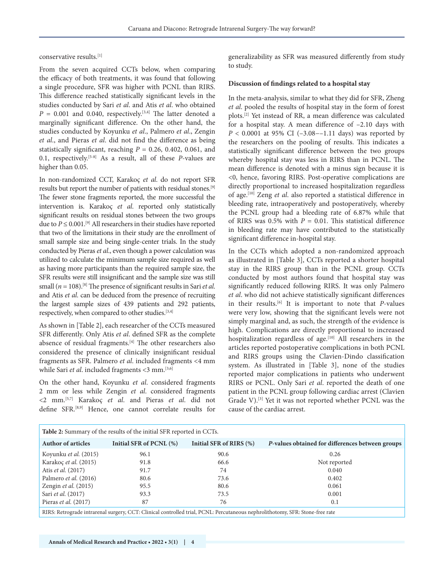conservative results.[1]

From the seven acquired CCTs below, when comparing the efficacy of both treatments, it was found that following a single procedure, SFR was higher with PCNL than RIRS. This difference reached statistically significant levels in the studies conducted by Sari *et al*. and Atis *et al*. who obtained  $P = 0.001$  and 0.040, respectively.<sup>[3,4]</sup> The latter denoted a marginally significant difference. On the other hand, the studies conducted by Koyunku *et al*., Palmero *et al*., Zengin *et al*., and Pieras *et al*. did not find the difference as being statistically significant, reaching  $P = 0.26$ , 0.402, 0.061, and 0.1, respectively.[5-8] As a result, all of these *P*-values are higher than 0.05.

In non-randomized CCT, Karakoç *et al*. do not report SFR results but report the number of patients with residual stones.[9] The fewer stone fragments reported, the more successful the intervention is. Karakoç *et al*. reported only statistically significant results on residual stones between the two groups due to  $P \le 0.001$ .<sup>[9]</sup> All researchers in their studies have reported that two of the limitations in their study are the enrollment of small sample size and being single-center trials. In the study conducted by Pieras *et al*., even though a power calculation was utilized to calculate the minimum sample size required as well as having more participants than the required sample size, the SFR results were still insignificant and the sample size was still small ( $n = 108$ ).<sup>[8]</sup> The presence of significant results in Sari *et al.* and Atis *et al*. can be deduced from the presence of recruiting the largest sample sizes of 439 patients and 292 patients, respectively, when compared to other studies.<sup>[3,4]</sup>

As shown in [Table 2], each researcher of the CCTs measured SFR differently. Only Atis *et al*. defined SFR as the complete absence of residual fragments.<sup>[4]</sup> The other researchers also considered the presence of clinically insignificant residual fragments as SFR. Palmero *et al*. included fragments <4 mm while Sari *et al.* included fragments <3 mm.<sup>[3,6]</sup>

On the other hand, Koyunku *et al*. considered fragments 2 mm or less while Zengin *et al*. considered fragments <2 mm.[5,7] Karakoç *et al*. and Pieras *et al*. did not define SFR.[8,9] Hence, one cannot correlate results for generalizability as SFR was measured differently from study to study.

#### **Discussion of findings related to a hospital stay**

In the meta-analysis, similar to what they did for SFR, Zheng *et al*. pooled the results of hospital stay in the form of forest plots.[2] Yet instead of RR, a mean difference was calculated for a hospital stay. A mean difference of –2.10 days with *P* < 0.0001 at 95% CI (−3.08−–1.11 days) was reported by the researchers on the pooling of results. This indicates a statistically significant difference between the two groups whereby hospital stay was less in RIRS than in PCNL. The mean difference is denoted with a minus sign because it is <0, hence, favoring RIRS. Post-operative complications are directly proportional to increased hospitalization regardless of age.[10] Zeng *et al*. also reported a statistical difference in bleeding rate, intraoperatively and postoperatively, whereby the PCNL group had a bleeding rate of 6.87% while that of RIRS was 0.5% with *P* = 0.01. This statistical difference in bleeding rate may have contributed to the statistically significant difference in-hospital stay.

In the CCTs which adopted a non-randomized approach as illustrated in [Table 3], CCTs reported a shorter hospital stay in the RIRS group than in the PCNL group. CCTs conducted by most authors found that hospital stay was significantly reduced following RIRS. It was only Palmero *et al*. who did not achieve statistically significant differences in their results.[6] It is important to note that *P*-values were very low, showing that the significant levels were not simply marginal and, as such, the strength of the evidence is high. Complications are directly proportional to increased hospitalization regardless of age.<sup>[10]</sup> All researchers in the articles reported postoperative complications in both PCNL and RIRS groups using the Clavien-Dindo classification system. As illustrated in [Table 3], none of the studies reported major complications in patients who underwent RIRS or PCNL. Only Sari *et al*. reported the death of one patient in the PCNL group following cardiac arrest (Clavien Grade V).<sup>[3]</sup> Yet it was not reported whether PCNL was the cause of the cardiac arrest.

| <b>Table 2:</b> Summary of the results of the initial SFR reported in CCTs.                                                   |                         |                         |                                                  |  |  |
|-------------------------------------------------------------------------------------------------------------------------------|-------------------------|-------------------------|--------------------------------------------------|--|--|
| <b>Author of articles</b>                                                                                                     | Initial SFR of PCNL (%) | Initial SFR of RIRS (%) | P-values obtained for differences between groups |  |  |
| Koyunku et al. (2015)                                                                                                         | 96.1                    | 90.6                    | 0.26                                             |  |  |
| Karakoç et al. (2015)                                                                                                         | 91.8                    | 66.6                    | Not reported                                     |  |  |
| Atis <i>et al.</i> (2017)                                                                                                     | 91.7                    | 74                      | 0.040                                            |  |  |
| Palmero et al. (2016)                                                                                                         | 80.6                    | 73.6                    | 0.402                                            |  |  |
| Zengin et al. (2015)                                                                                                          | 95.5                    | 80.6                    | 0.061                                            |  |  |
| Sari <i>et al.</i> (2017)                                                                                                     | 93.3                    | 73.5                    | 0.001                                            |  |  |
| Pieras <i>et al.</i> $(2017)$                                                                                                 | 87                      | 76                      | 0.1                                              |  |  |
| RIRS: Retrograde intrarenal surgery, CCT: Clinical controlled trial, PCNL: Percutaneous nephrolithotomy, SFR: Stone-free rate |                         |                         |                                                  |  |  |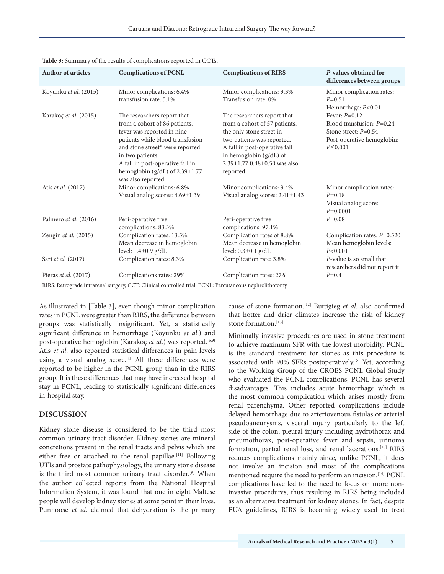| Table 3: Summary of the results of complications reported in CCTs.                                      |                                                                                                                                                                                                                                                                                       |                                                                                                                                                                                                                                            |                                                                                                                         |  |  |  |
|---------------------------------------------------------------------------------------------------------|---------------------------------------------------------------------------------------------------------------------------------------------------------------------------------------------------------------------------------------------------------------------------------------|--------------------------------------------------------------------------------------------------------------------------------------------------------------------------------------------------------------------------------------------|-------------------------------------------------------------------------------------------------------------------------|--|--|--|
| <b>Author of articles</b>                                                                               | <b>Complications of PCNL</b>                                                                                                                                                                                                                                                          | <b>Complications of RIRS</b>                                                                                                                                                                                                               | P-values obtained for<br>differences between groups                                                                     |  |  |  |
| Koyunku et al. (2015)                                                                                   | Minor complications: 6.4%<br>transfusion rate: 5.1%                                                                                                                                                                                                                                   | Minor complications: 9.3%<br>Transfusion rate: 0%                                                                                                                                                                                          | Minor complication rates:<br>$P=0.51$<br>Hemorrhage: P<0.01                                                             |  |  |  |
| Karakoç et al. (2015)                                                                                   | The researchers report that<br>from a cohort of 86 patients,<br>fever was reported in nine<br>patients while blood transfusion<br>and stone street* were reported<br>in two patients<br>A fall in post-operative fall in<br>hemoglobin (g/dL) of $2.39 \pm 1.77$<br>was also reported | The researchers report that<br>from a cohort of 57 patients,<br>the only stone street in<br>two patients was reported.<br>A fall in post-operative fall<br>in hemoglobin (g/dL) of<br>$2.39 \pm 1.77$ 0.48 $\pm$ 0.50 was also<br>reported | Fever: $P=0.12$<br>Blood transfusion: $P=0.24$<br>Stone street: $P=0.54$<br>Post-operative hemoglobin:<br>$P \le 0.001$ |  |  |  |
| Atis et al. (2017)                                                                                      | Minor complications: 6.8%<br>Visual analog scores: 4.69±1.39                                                                                                                                                                                                                          | Minor complications: 3.4%<br>Visual analog scores: 2.41±1.43                                                                                                                                                                               | Minor complication rates:<br>$P=0.18$<br>Visual analog score:<br>$P=0.0001$                                             |  |  |  |
| Palmero et al. (2016)                                                                                   | Peri-operative free<br>complications: 83.3%                                                                                                                                                                                                                                           | Peri-operative free<br>complications: 97.1%                                                                                                                                                                                                | $P=0.08$                                                                                                                |  |  |  |
| Zengin $et$ al. $(2015)$                                                                                | Complication rates: 13.5%.<br>Mean decrease in hemoglobin<br>level: 1.4±0.9 g/dL                                                                                                                                                                                                      | Complication rates of 8.8%.<br>Mean decrease in hemoglobin<br>level: $0.3 \pm 0.1$ g/dL                                                                                                                                                    | Complication rates: $P=0.520$<br>Mean hemoglobin levels:<br>P < 0.001                                                   |  |  |  |
| Sari et al. (2017)                                                                                      | Complication rates: 8.3%                                                                                                                                                                                                                                                              | Complication rate: 3.8%                                                                                                                                                                                                                    | P-value is so small that<br>researchers did not report it                                                               |  |  |  |
| Pieras et al. $(2017)$                                                                                  | Complications rates: 29%                                                                                                                                                                                                                                                              | Complication rates: 27%                                                                                                                                                                                                                    | $P=0.4$                                                                                                                 |  |  |  |
| RIRS: Retrograde intrarenal surgery, CCT: Clinical controlled trial, PCNL: Percutaneous nephrolithotomy |                                                                                                                                                                                                                                                                                       |                                                                                                                                                                                                                                            |                                                                                                                         |  |  |  |

As illustrated in [Table 3], even though minor complication rates in PCNL were greater than RIRS, the difference between groups was statistically insignificant. Yet, a statistically significant difference in hemorrhage (Koyunku *et al*.) and post-operative hemoglobin (Karakoç et al.) was reported.<sup>[5,9]</sup> Atis *et al*. also reported statistical differences in pain levels using a visual analog score.<sup>[4]</sup> All these differences were reported to be higher in the PCNL group than in the RIRS group. It is these differences that may have increased hospital stay in PCNL, leading to statistically significant differences in-hospital stay.

#### **DISCUSSION**

Kidney stone disease is considered to be the third most common urinary tract disorder. Kidney stones are mineral concretions present in the renal tracts and pelvis which are either free or attached to the renal papillae.<sup>[11]</sup> Following UTIs and prostate pathophysiology, the urinary stone disease is the third most common urinary tract disorder.<sup>[9]</sup> When the author collected reports from the National Hospital Information System, it was found that one in eight Maltese people will develop kidney stones at some point in their lives. Punnoose *et al*. claimed that dehydration is the primary cause of stone formation.[12] Buttigieg *et al*. also confirmed that hotter and drier climates increase the risk of kidney stone formation.<sup>[13]</sup>

Minimally invasive procedures are used in stone treatment to achieve maximum SFR with the lowest morbidity. PCNL is the standard treatment for stones as this procedure is associated with 90% SFRs postoperatively.<sup>[5]</sup> Yet, according to the Working Group of the CROES PCNL Global Study who evaluated the PCNL complications, PCNL has several disadvantages. This includes acute hemorrhage which is the most common complication which arises mostly from renal parenchyma. Other reported complications include delayed hemorrhage due to arteriovenous fistulas or arterial pseudoaneurysms, visceral injury particularly to the left side of the colon, pleural injury including hydrothorax and pneumothorax, post-operative fever and sepsis, urinoma formation, partial renal loss, and renal lacerations.<sup>[10]</sup> RIRS reduces complications mainly since, unlike PCNL, it does not involve an incision and most of the complications mentioned require the need to perform an incision.<sup>[14]</sup> PCNL complications have led to the need to focus on more noninvasive procedures, thus resulting in RIRS being included as an alternative treatment for kidney stones. In fact, despite EUA guidelines, RIRS is becoming widely used to treat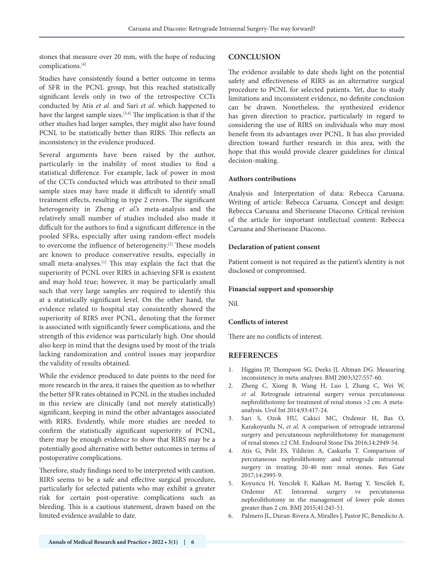stones that measure over 20 mm, with the hope of reducing complications.[4]

Studies have consistently found a better outcome in terms of SFR in the PCNL group, but this reached statistically significant levels only in two of the retrospective CCTs conducted by Atis *et al*. and Sari *et al*. which happened to have the largest sample sizes.[3,4] The implication is that if the other studies had larger samples, they might also have found PCNL to be statistically better than RIRS. This reflects an inconsistency in the evidence produced.

Several arguments have been raised by the author, particularly in the inability of most studies to find a statistical difference. For example, lack of power in most of the CCTs conducted which was attributed to their small sample sizes may have made it difficult to identify small treatment effects, resulting in type 2 errors. The significant heterogeneity in Zheng *et al*.'s meta-analysis and the relatively small number of studies included also made it difficult for the authors to find a significant difference in the pooled SFRs, especially after using random-effect models to overcome the influence of heterogeneity.<sup>[2]</sup> These models are known to produce conservative results, especially in small meta-analyses.<sup>[1]</sup> This may explain the fact that the superiority of PCNL over RIRS in achieving SFR is existent and may hold true; however, it may be particularly small such that very large samples are required to identify this at a statistically significant level. On the other hand, the evidence related to hospital stay consistently showed the superiority of RIRS over PCNL, denoting that the former is associated with significantly fewer complications, and the strength of this evidence was particularly high. One should also keep in mind that the designs used by most of the trials lacking randomization and control issues may jeopardize the validity of results obtained.

While the evidence produced to date points to the need for more research in the area, it raises the question as to whether the better SFR rates obtained in PCNL in the studies included in this review are clinically (and not merely statistically) significant, keeping in mind the other advantages associated with RIRS. Evidently, while more studies are needed to confirm the statistically significant superiority of PCNL, there may be enough evidence to show that RIRS may be a potentially good alternative with better outcomes in terms of postoperative complications.

Therefore, study findings need to be interpreted with caution. RIRS seems to be a safe and effective surgical procedure, particularly for selected patients who may exhibit a greater risk for certain post-operative complications such as bleeding. This is a cautious statement, drawn based on the limited evidence available to date.

#### **CONCLUSION**

The evidence available to date sheds light on the potential safety and effectiveness of RIRS as an alternative surgical procedure to PCNL for selected patients. Yet, due to study limitations and inconsistent evidence, no definite conclusion can be drawn. Nonetheless, the synthesized evidence has given direction to practice, particularly in regard to considering the use of RIRS on individuals who may most benefit from its advantages over PCNL. It has also provided direction toward further research in this area, with the hope that this would provide clearer guidelines for clinical decision-making.

#### **Authors contributions**

Analysis and Interpretation of data: Rebecca Caruana. Writing of article: Rebecca Caruana. Concept and design: Rebecca Caruana and Sheriseane Diacono. Critical revision of the article for important intellectual content: Rebecca Caruana and Sheriseane Diacono.

#### **Declaration of patient consent**

Patient consent is not required as the patient's identity is not disclosed or compromised.

#### **Financial support and sponsorship**

Nil.

#### **Conflicts of interest**

There are no conflicts of interest.

#### **REFERENCES**

- 1. Higgins JP, Thompson SG, Deeks JJ, Altman DG. Measuring inconsistency in meta-analyses. BMJ 2003;327:557-60.
- 2. Zheng C, Xiong B, Wang H, Luo J, Zhang C, Wei W, *et al*. Retrograde intrarenal surgery versus percutaneous nephrolithotomy for treatment of renal stones >2 cm: A metaanalysis. Urol Int 2014;93:417-24.
- 3. Sari S, Ozok HU, Cakici MC, Ozdemir H, Bas O, Karakoyunlu N, *et al*. A comparison of retrograde intrarenal surgery and percutaneous nephrolithotomy for management of renal stones ≥2 CM. Endourol Stone Dis 2016;14:2949-54.
- 4. Atis G, Pelit ES, Yildirim A, Caskurlu T. Comparison of percutaneous nephrolithotomy and retrograde intrarenal surgery in treating 20-40 mm renal stones. Res Gate 2017;14:2995-9.
- 5. Koyuncu H, Yencilek F, Kalkan M, Bastug Y, Yencilek E, Ozdemir AT. Intrarenal surgery vs percutaneous nephrolithotomy in the management of lower pole stones greater than 2 cm. BMJ 2015;41:245-51.
- 6. Palmero JL, Duran-Rivera A, Miralles J, Pastor JC, Benedicto A.